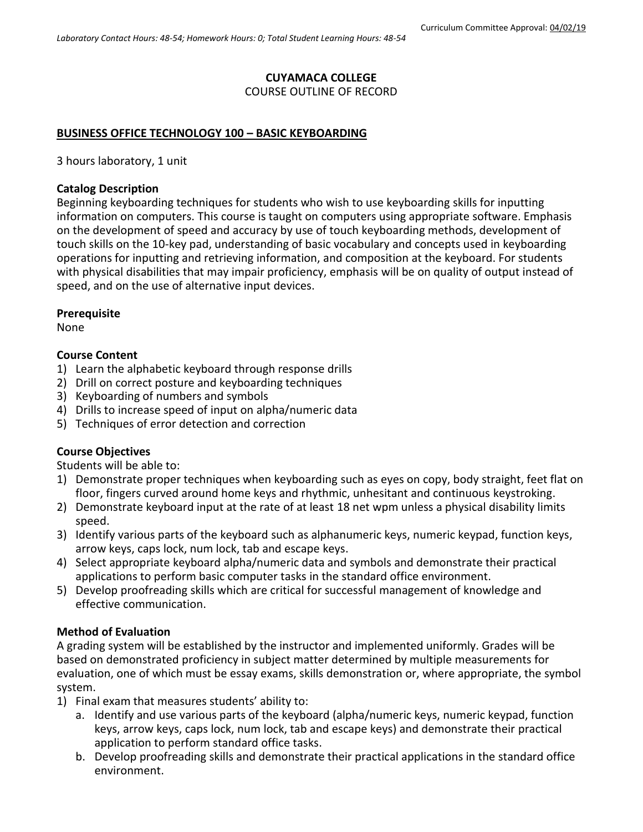# **CUYAMACA COLLEGE**

COURSE OUTLINE OF RECORD

### **BUSINESS OFFICE TECHNOLOGY 100 – BASIC KEYBOARDING**

3 hours laboratory, 1 unit

### **Catalog Description**

Beginning keyboarding techniques for students who wish to use keyboarding skills for inputting information on computers. This course is taught on computers using appropriate software. Emphasis on the development of speed and accuracy by use of touch keyboarding methods, development of touch skills on the 10-key pad, understanding of basic vocabulary and concepts used in keyboarding operations for inputting and retrieving information, and composition at the keyboard. For students with physical disabilities that may impair proficiency, emphasis will be on quality of output instead of speed, and on the use of alternative input devices.

#### **Prerequisite**

None

#### **Course Content**

- 1) Learn the alphabetic keyboard through response drills
- 2) Drill on correct posture and keyboarding techniques
- 3) Keyboarding of numbers and symbols
- 4) Drills to increase speed of input on alpha/numeric data
- 5) Techniques of error detection and correction

# **Course Objectives**

Students will be able to:

- 1) Demonstrate proper techniques when keyboarding such as eyes on copy, body straight, feet flat on floor, fingers curved around home keys and rhythmic, unhesitant and continuous keystroking.
- 2) Demonstrate keyboard input at the rate of at least 18 net wpm unless a physical disability limits speed.
- 3) Identify various parts of the keyboard such as alphanumeric keys, numeric keypad, function keys, arrow keys, caps lock, num lock, tab and escape keys.
- 4) Select appropriate keyboard alpha/numeric data and symbols and demonstrate their practical applications to perform basic computer tasks in the standard office environment.
- 5) Develop proofreading skills which are critical for successful management of knowledge and effective communication.

#### **Method of Evaluation**

A grading system will be established by the instructor and implemented uniformly. Grades will be based on demonstrated proficiency in subject matter determined by multiple measurements for evaluation, one of which must be essay exams, skills demonstration or, where appropriate, the symbol system.

- 1) Final exam that measures students' ability to:
	- a. Identify and use various parts of the keyboard (alpha/numeric keys, numeric keypad, function keys, arrow keys, caps lock, num lock, tab and escape keys) and demonstrate their practical application to perform standard office tasks.
	- b. Develop proofreading skills and demonstrate their practical applications in the standard office environment.